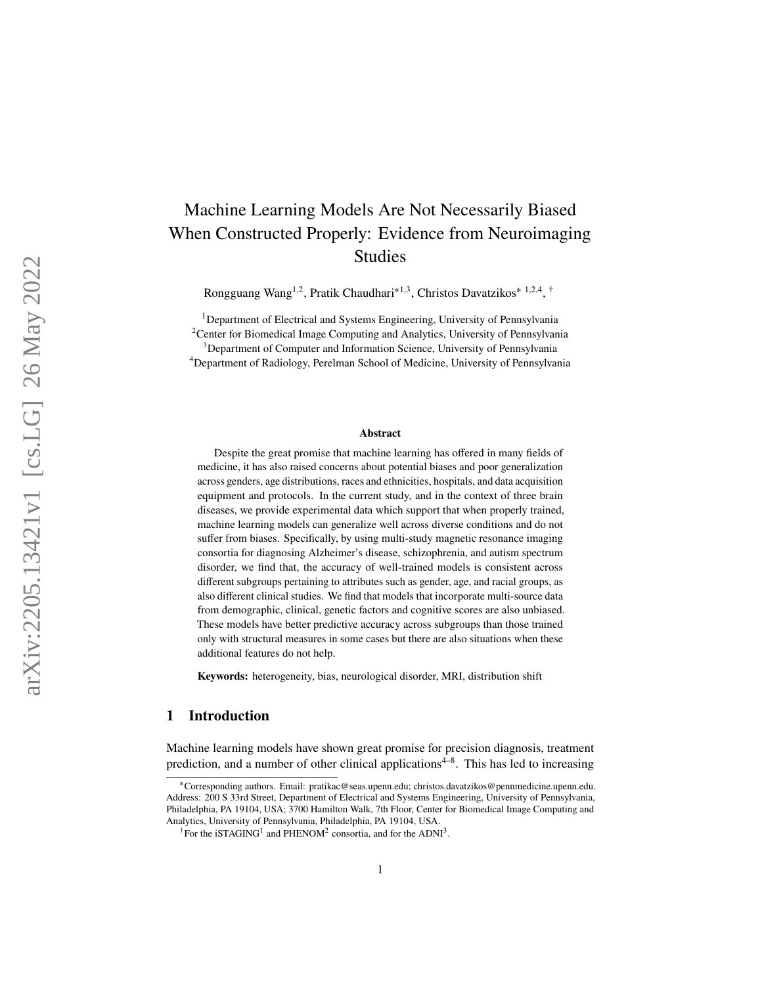# Machine Learning Models Are Not Necessarily Biased When Constructed Properly: Evidence from Neuroimaging Studies

Rongguang Wang<sup>1,2</sup>, Pratik Chaudhari<sup>\*1,3</sup>, Christos Davatzikos<sup>\* 1,2,4</sup>, <sup>†</sup>

<sup>1</sup>Department of Electrical and Systems Engineering, University of Pennsylvania <sup>2</sup>Center for Biomedical Image Computing and Analytics, University of Pennsylvania

<sup>3</sup>Department of Computer and Information Science, University of Pennsylvania

<sup>4</sup>Department of Radiology, Perelman School of Medicine, University of Pennsylvania

#### **Abstract**

Despite the great promise that machine learning has offered in many fields of medicine, it has also raised concerns about potential biases and poor generalization across genders, age distributions, races and ethnicities, hospitals, and data acquisition equipment and protocols. In the current study, and in the context of three brain diseases, we provide experimental data which support that when properly trained, machine learning models can generalize well across diverse conditions and do not suffer from biases. Specifically, by using multi-study magnetic resonance imaging consortia for diagnosing Alzheimer's disease, schizophrenia, and autism spectrum disorder, we find that, the accuracy of well-trained models is consistent across different subgroups pertaining to attributes such as gender, age, and racial groups, as also different clinical studies. We find that models that incorporate multi-source data from demographic, clinical, genetic factors and cognitive scores are also unbiased. These models have better predictive accuracy across subgroups than those trained only with structural measures in some cases but there are also situations when these additional features do not help.

**Keywords:** heterogeneity, bias, neurological disorder, MRI, distribution shift

## **1 Introduction**

Machine learning models have shown great promise for precision diagnosis, treatment prediction, and a number of other clinical applications<sup>[4](#page-6-0)-[8](#page-7-0)</sup>. This has led to increasing

<sup>∗</sup>Corresponding authors. Email: [pratikac@seas.upenn.edu](mailto:pratikac@seas.upenn.edu) ; [christos.davatzikos@pennmedicine.upenn.edu](mailto:christos.davatzikos@pennmedicine.upenn.edu) . Address: 200 S 33rd Street, Department of Electrical and Systems Engineering, University of Pennsylvania, Philadelphia, PA 19104, USA; 3700 Hamilton Walk, 7th Floor, Center for Biomedical Image Computing and Analytics, University of Pennsylvania, Philadelphia, PA 19104, USA.

<sup>&</sup>lt;sup>†</sup>For the iSTAGING<sup>[1](#page-6-1)</sup> and PHENOM<sup>[2](#page-6-2)</sup> consortia, and for the ADNI<sup>[3](#page-6-3)</sup>.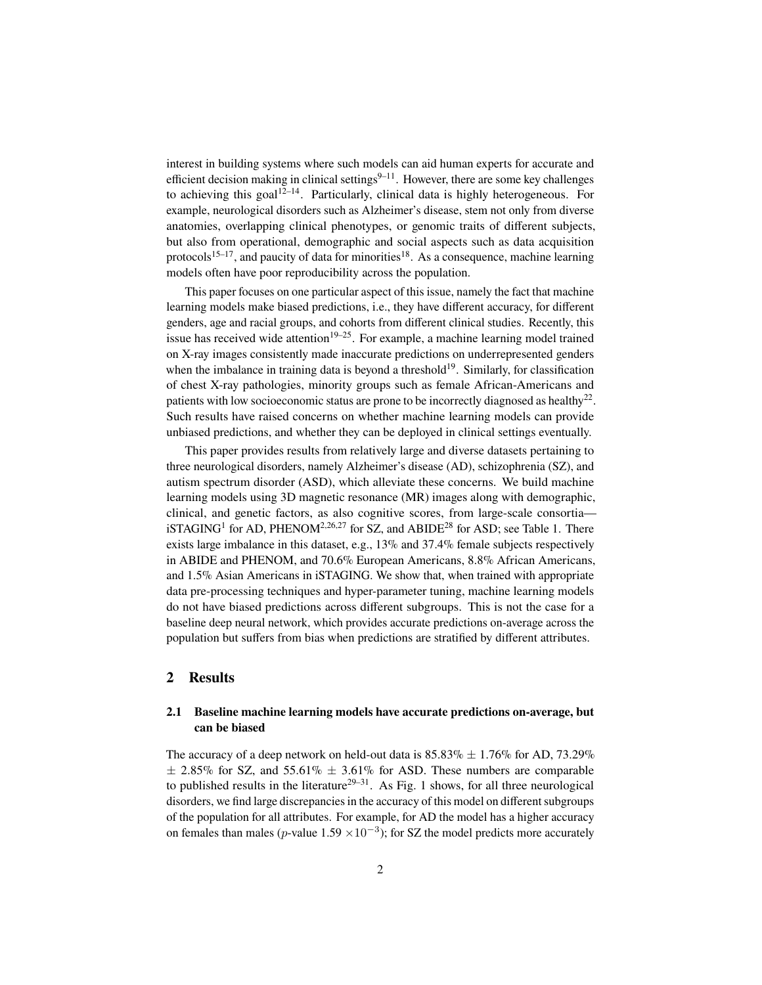interest in building systems where such models can aid human experts for accurate and efficient decision making in clinical settings $9-11$  $9-11$ . However, there are some key challenges to achieving this goal<sup>[12](#page-7-3)[–14](#page-7-4)</sup>. Particularly, clinical data is highly heterogeneous. For example, neurological disorders such as Alzheimer's disease, stem not only from diverse anatomies, overlapping clinical phenotypes, or genomic traits of different subjects, but also from operational, demographic and social aspects such as data acquisition protocols<sup>[15–](#page-7-5)[17](#page-7-6)</sup>, and paucity of data for minorities<sup>[18](#page-7-7)</sup>. As a consequence, machine learning models often have poor reproducibility across the population.

This paper focuses on one particular aspect of this issue, namely the fact that machine learning models make biased predictions, i.e., they have different accuracy, for different genders, age and racial groups, and cohorts from different clinical studies. Recently, this issue has received wide attention<sup>[19](#page-7-8)[–25](#page-8-0)</sup>. For example, a machine learning model trained on X-ray images consistently made inaccurate predictions on underrepresented genders when the imbalance in training data is beyond a threshold<sup>[19](#page-7-8)</sup>. Similarly, for classification of chest X-ray pathologies, minority groups such as female African-Americans and patients with low socioeconomic status are prone to be incorrectly diagnosed as healthy<sup>[22](#page-8-1)</sup>. Such results have raised concerns on whether machine learning models can provide unbiased predictions, and whether they can be deployed in clinical settings eventually.

This paper provides results from relatively large and diverse datasets pertaining to three neurological disorders, namely Alzheimer's disease (AD), schizophrenia (SZ), and autism spectrum disorder (ASD), which alleviate these concerns. We build machine learning models using 3D magnetic resonance (MR) images along with demographic, clinical, and genetic factors, as also cognitive scores, from large-scale consortia— iSTAGING<sup>[1](#page-6-1)</sup> for AD, PHENOM<sup>[2,](#page-6-2)[26](#page-8-2)[,27](#page-8-3)</sup> for SZ, and ABIDE<sup>[28](#page-8-4)</sup> for ASD; see Table [1.](#page-13-0) There exists large imbalance in this dataset, e.g., 13% and 37.4% female subjects respectively in ABIDE and PHENOM, and 70.6% European Americans, 8.8% African Americans, and 1.5% Asian Americans in iSTAGING. We show that, when trained with appropriate data pre-processing techniques and hyper-parameter tuning, machine learning models do not have biased predictions across different subgroups. This is not the case for a baseline deep neural network, which provides accurate predictions on-average across the population but suffers from bias when predictions are stratified by different attributes.

# **2 Results**

### <span id="page-1-0"></span>**2.1 Baseline machine learning models have accurate predictions on-average, but can be biased**

The accuracy of a deep network on held-out data is  $85.83\% \pm 1.76\%$  for AD,  $73.29\%$  $\pm$  2.85% for SZ, and 55.61%  $\pm$  3.61% for ASD. These numbers are comparable to published results in the literature<sup>[29](#page-8-5)[–31](#page-8-6)</sup>. As Fig. [1](#page-2-0) shows, for all three neurological disorders, we find large discrepancies in the accuracy of this model on different subgroups of the population for all attributes. For example, for AD the model has a higher accuracy on females than males (p-value  $1.59 \times 10^{-3}$ ); for SZ the model predicts more accurately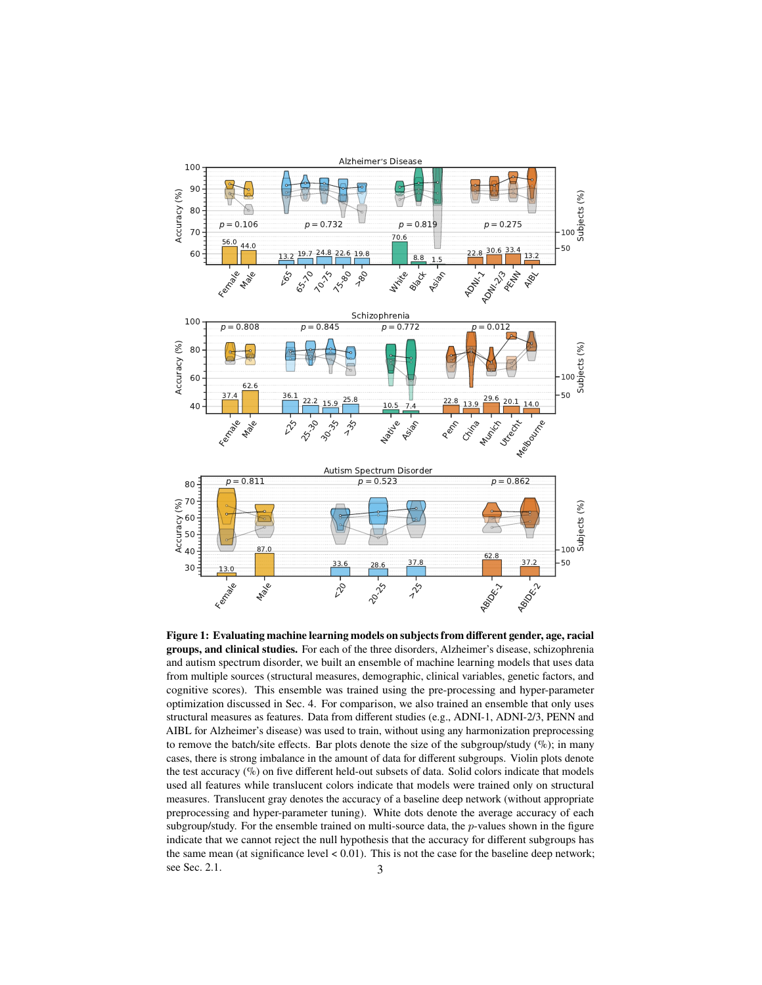<span id="page-2-0"></span>

**Figure 1: Evaluating machine learning models on subjects from different gender, age, racial groups, and clinical studies.** For each of the three disorders, Alzheimer's disease, schizophrenia and autism spectrum disorder, we built an ensemble of machine learning models that uses data from multiple sources (structural measures, demographic, clinical variables, genetic factors, and cognitive scores). This ensemble was trained using the pre-processing and hyper-parameter optimization discussed in Sec. [4.](#page-5-0) For comparison, we also trained an ensemble that only uses structural measures as features. Data from different studies (e.g., ADNI-1, ADNI-2/3, PENN and AIBL for Alzheimer's disease) was used to train, without using any harmonization preprocessing to remove the batch/site effects. Bar plots denote the size of the subgroup/study  $(\%)$ ; in many cases, there is strong imbalance in the amount of data for different subgroups. Violin plots denote the test accuracy (%) on five different held-out subsets of data. Solid colors indicate that models used all features while translucent colors indicate that models were trained only on structural measures. Translucent gray denotes the accuracy of a baseline deep network (without appropriate preprocessing and hyper-parameter tuning). White dots denote the average accuracy of each subgroup/study. For the ensemble trained on multi-source data, the p-values shown in the figure indicate that we cannot reject the null hypothesis that the accuracy for different subgroups has the same mean (at significance level < 0.01). This is not the case for the baseline deep network; see Sec. [2.1.](#page-1-0) 3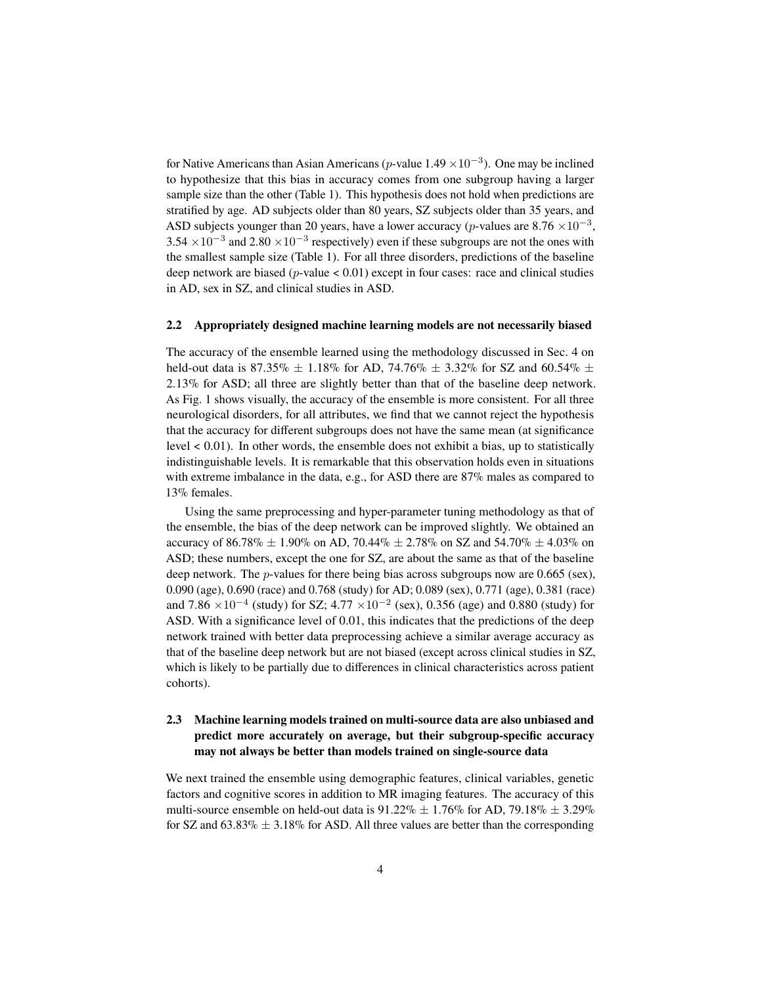for Native Americans than Asian Americans (p-value  $1.49 \times 10^{-3}$ ). One may be inclined to hypothesize that this bias in accuracy comes from one subgroup having a larger sample size than the other (Table [1\)](#page-13-0). This hypothesis does not hold when predictions are stratified by age. AD subjects older than 80 years, SZ subjects older than 35 years, and ASD subjects younger than 20 years, have a lower accuracy (p-values are  $8.76 \times 10^{-3}$ , 3.54  $\times$ 10<sup>-3</sup> and 2.80  $\times$ 10<sup>-3</sup> respectively) even if these subgroups are not the ones with the smallest sample size (Table [1\)](#page-13-0). For all three disorders, predictions of the baseline deep network are biased ( $p$ -value < 0.01) except in four cases: race and clinical studies in AD, sex in SZ, and clinical studies in ASD.

#### **2.2 Appropriately designed machine learning models are not necessarily biased**

The accuracy of the ensemble learned using the methodology discussed in Sec. [4](#page-5-0) on held-out data is 87.35%  $\pm$  1.18% for AD, 74.76%  $\pm$  3.32% for SZ and 60.54%  $\pm$ 2.13% for ASD; all three are slightly better than that of the baseline deep network. As Fig. [1](#page-2-0) shows visually, the accuracy of the ensemble is more consistent. For all three neurological disorders, for all attributes, we find that we cannot reject the hypothesis that the accuracy for different subgroups does not have the same mean (at significance level  $\leq 0.01$ ). In other words, the ensemble does not exhibit a bias, up to statistically indistinguishable levels. It is remarkable that this observation holds even in situations with extreme imbalance in the data, e.g., for ASD there are 87% males as compared to 13% females.

Using the same preprocessing and hyper-parameter tuning methodology as that of the ensemble, the bias of the deep network can be improved slightly. We obtained an accuracy of 86.78%  $\pm$  1.90% on AD, 70.44%  $\pm$  2.78% on SZ and 54.70%  $\pm$  4.03% on ASD; these numbers, except the one for SZ, are about the same as that of the baseline deep network. The p-values for there being bias across subgroups now are 0.665 (sex), 0.090 (age), 0.690 (race) and 0.768 (study) for AD; 0.089 (sex), 0.771 (age), 0.381 (race) and 7.86  $\times 10^{-4}$  (study) for SZ; 4.77  $\times 10^{-2}$  (sex), 0.356 (age) and 0.880 (study) for ASD. With a significance level of 0.01, this indicates that the predictions of the deep network trained with better data preprocessing achieve a similar average accuracy as that of the baseline deep network but are not biased (except across clinical studies in SZ, which is likely to be partially due to differences in clinical characteristics across patient cohorts).

# **2.3 Machine learning models trained on multi-source data are also unbiased and predict more accurately on average, but their subgroup-specific accuracy may not always be better than models trained on single-source data**

We next trained the ensemble using demographic features, clinical variables, genetic factors and cognitive scores in addition to MR imaging features. The accuracy of this multi-source ensemble on held-out data is  $91.22\% \pm 1.76\%$  for AD,  $79.18\% \pm 3.29\%$ for SZ and  $63.83\% \pm 3.18\%$  for ASD. All three values are better than the corresponding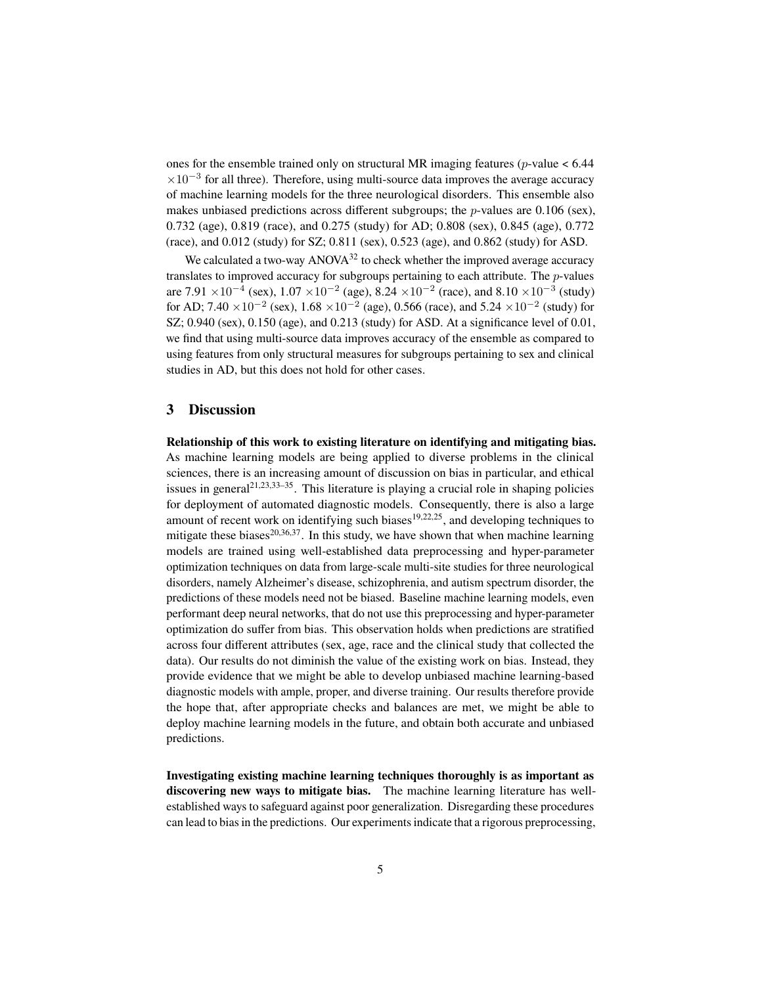ones for the ensemble trained only on structural MR imaging features ( $p$ -value < 6.44  $\times 10^{-3}$  for all three). Therefore, using multi-source data improves the average accuracy of machine learning models for the three neurological disorders. This ensemble also makes unbiased predictions across different subgroups; the  $p$ -values are 0.106 (sex), 0.732 (age), 0.819 (race), and 0.275 (study) for AD; 0.808 (sex), 0.845 (age), 0.772 (race), and 0.012 (study) for SZ; 0.811 (sex), 0.523 (age), and 0.862 (study) for ASD.

We calculated a two-way  $ANOVA^{32}$  $ANOVA^{32}$  $ANOVA^{32}$  to check whether the improved average accuracy translates to improved accuracy for subgroups pertaining to each attribute. The p-values are 7.91  $\times 10^{-4}$  (sex),  $1.07 \times 10^{-2}$  (age),  $8.24 \times 10^{-2}$  (race), and  $8.10 \times 10^{-3}$  (study) for AD; 7.40 ×10<sup>-2</sup> (sex), 1.68 ×10<sup>-2</sup> (age), 0.566 (race), and 5.24 ×10<sup>-2</sup> (study) for SZ; 0.940 (sex), 0.150 (age), and 0.213 (study) for ASD. At a significance level of 0.01, we find that using multi-source data improves accuracy of the ensemble as compared to using features from only structural measures for subgroups pertaining to sex and clinical studies in AD, but this does not hold for other cases.

# **3 Discussion**

**Relationship of this work to existing literature on identifying and mitigating bias.** As machine learning models are being applied to diverse problems in the clinical sciences, there is an increasing amount of discussion on bias in particular, and ethical issues in general<sup>[21,](#page-8-8)[23,](#page-8-9)[33](#page-8-10)[–35](#page-9-0)</sup>. This literature is playing a crucial role in shaping policies for deployment of automated diagnostic models. Consequently, there is also a large amount of recent work on identifying such biases<sup>[19](#page-7-8)[,22,](#page-8-1)[25](#page-8-0)</sup>, and developing techniques to mitigate these biases $20,36,37$  $20,36,37$  $20,36,37$ . In this study, we have shown that when machine learning models are trained using well-established data preprocessing and hyper-parameter optimization techniques on data from large-scale multi-site studies for three neurological disorders, namely Alzheimer's disease, schizophrenia, and autism spectrum disorder, the predictions of these models need not be biased. Baseline machine learning models, even performant deep neural networks, that do not use this preprocessing and hyper-parameter optimization do suffer from bias. This observation holds when predictions are stratified across four different attributes (sex, age, race and the clinical study that collected the data). Our results do not diminish the value of the existing work on bias. Instead, they provide evidence that we might be able to develop unbiased machine learning-based diagnostic models with ample, proper, and diverse training. Our results therefore provide the hope that, after appropriate checks and balances are met, we might be able to deploy machine learning models in the future, and obtain both accurate and unbiased predictions.

**Investigating existing machine learning techniques thoroughly is as important as discovering new ways to mitigate bias.** The machine learning literature has wellestablished ways to safeguard against poor generalization. Disregarding these procedures can lead to bias in the predictions. Our experiments indicate that a rigorous preprocessing,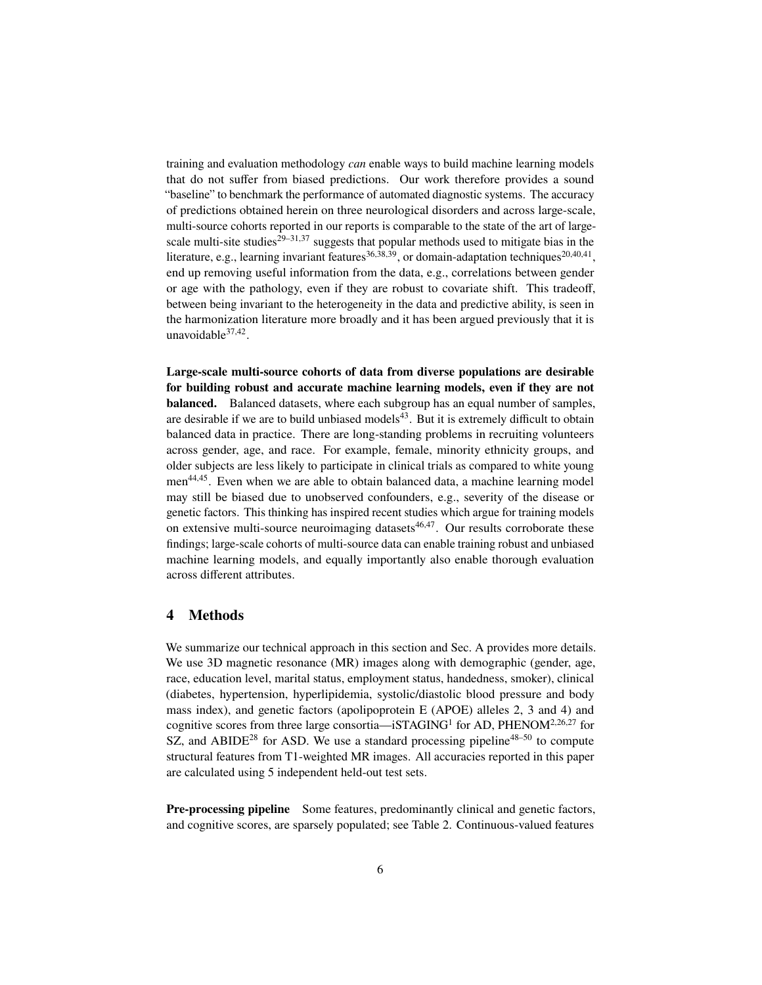training and evaluation methodology *can* enable ways to build machine learning models that do not suffer from biased predictions. Our work therefore provides a sound "baseline" to benchmark the performance of automated diagnostic systems. The accuracy of predictions obtained herein on three neurological disorders and across large-scale, multi-source cohorts reported in our reports is comparable to the state of the art of large-scale multi-site studies<sup>[29](#page-8-5)[–31](#page-8-6)[,37](#page-9-2)</sup> suggests that popular methods used to mitigate bias in the literature, e.g., learning invariant features<sup>[36](#page-9-1)[,38,](#page-9-3)[39](#page-9-4)</sup>, or domain-adaptation techniques<sup>[20](#page-7-9)[,40,](#page-9-5)[41](#page-9-6)</sup>, end up removing useful information from the data, e.g., correlations between gender or age with the pathology, even if they are robust to covariate shift. This tradeoff, between being invariant to the heterogeneity in the data and predictive ability, is seen in the harmonization literature more broadly and it has been argued previously that it is unavoidable $37,42$  $37,42$ .

**Large-scale multi-source cohorts of data from diverse populations are desirable for building robust and accurate machine learning models, even if they are not balanced.** Balanced datasets, where each subgroup has an equal number of samples, are desirable if we are to build unbiased models $43$ . But it is extremely difficult to obtain balanced data in practice. There are long-standing problems in recruiting volunteers across gender, age, and race. For example, female, minority ethnicity groups, and older subjects are less likely to participate in clinical trials as compared to white young men<sup>[44](#page-9-9)[,45](#page-9-10)</sup>. Even when we are able to obtain balanced data, a machine learning model may still be biased due to unobserved confounders, e.g., severity of the disease or genetic factors. This thinking has inspired recent studies which argue for training models on extensive multi-source neuroimaging datasets $46,47$  $46,47$ . Our results corroborate these findings; large-scale cohorts of multi-source data can enable training robust and unbiased machine learning models, and equally importantly also enable thorough evaluation across different attributes.

# <span id="page-5-0"></span>**4 Methods**

We summarize our technical approach in this section and Sec. [A](#page-11-0) provides more details. We use 3D magnetic resonance (MR) images along with demographic (gender, age, race, education level, marital status, employment status, handedness, smoker), clinical (diabetes, hypertension, hyperlipidemia, systolic/diastolic blood pressure and body mass index), and genetic factors (apolipoprotein E (APOE) alleles 2, 3 and 4) and cognitive scores from three large consortia—iSTAGING<sup>[1](#page-6-1)</sup> for AD, PHENOM<sup>[2,](#page-6-2)[26,](#page-8-2)[27](#page-8-3)</sup> for SZ, and ABIDE<sup>[28](#page-8-4)</sup> for ASD. We use a standard processing pipeline<sup>[48–](#page-9-13)[50](#page-9-14)</sup> to compute structural features from T1-weighted MR images. All accuracies reported in this paper are calculated using 5 independent held-out test sets.

**Pre-processing pipeline** Some features, predominantly clinical and genetic factors, and cognitive scores, are sparsely populated; see Table [2.](#page-14-0) Continuous-valued features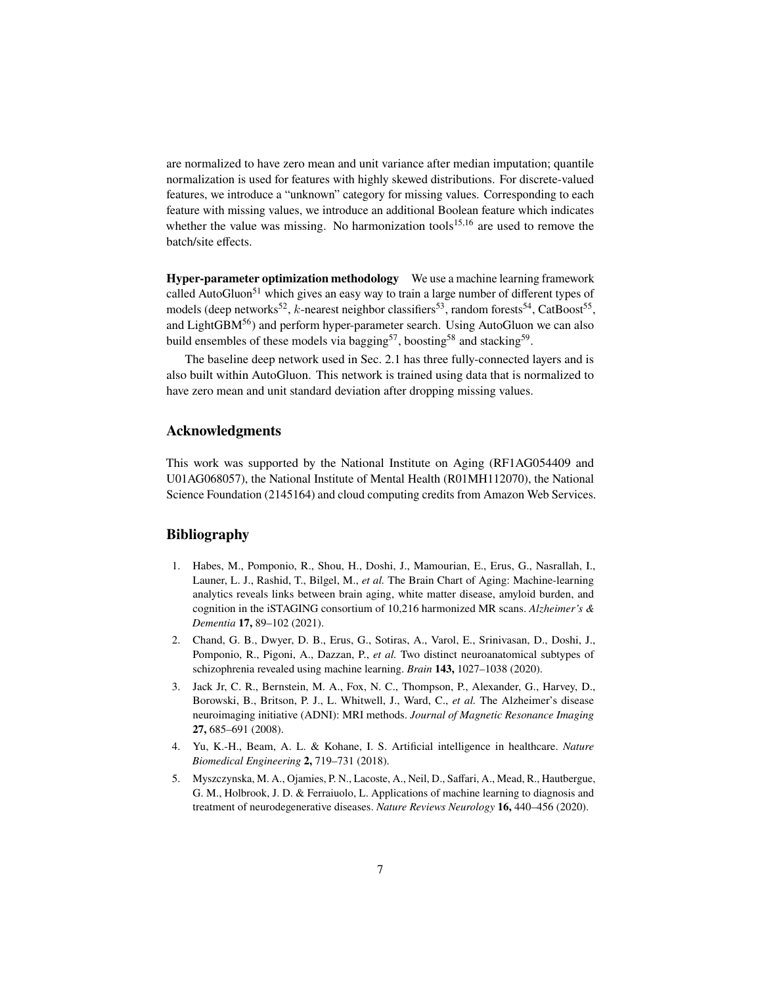are normalized to have zero mean and unit variance after median imputation; quantile normalization is used for features with highly skewed distributions. For discrete-valued features, we introduce a "unknown" category for missing values. Corresponding to each feature with missing values, we introduce an additional Boolean feature which indicates whether the value was missing. No harmonization tools<sup>[15](#page-7-5)[,16](#page-7-10)</sup> are used to remove the batch/site effects.

**Hyper-parameter optimization methodology** We use a machine learning framework called AutoGluon<sup>[51](#page-10-0)</sup> which gives an easy way to train a large number of different types of models (deep networks<sup>[52](#page-10-1)</sup>, k-nearest neighbor classifiers<sup>[53](#page-10-2)</sup>, random forests<sup>[54](#page-10-3)</sup>, CatBoost<sup>[55](#page-10-4)</sup>, and LightGBM<sup>[56](#page-10-5)</sup>) and perform hyper-parameter search. Using AutoGluon we can also build ensembles of these models via bagging<sup>[57](#page-10-6)</sup>, boosting<sup>[58](#page-10-7)</sup> and stacking<sup>[59](#page-10-8)</sup>.

The baseline deep network used in Sec. [2.1](#page-1-0) has three fully-connected layers and is also built within AutoGluon. This network is trained using data that is normalized to have zero mean and unit standard deviation after dropping missing values.

# **Acknowledgments**

This work was supported by the National Institute on Aging (RF1AG054409 and U01AG068057), the National Institute of Mental Health (R01MH112070), the National Science Foundation (2145164) and cloud computing credits from Amazon Web Services.

## **Bibliography**

- <span id="page-6-1"></span>1. Habes, M., Pomponio, R., Shou, H., Doshi, J., Mamourian, E., Erus, G., Nasrallah, I., Launer, L. J., Rashid, T., Bilgel, M., *et al.* The Brain Chart of Aging: Machine-learning analytics reveals links between brain aging, white matter disease, amyloid burden, and cognition in the iSTAGING consortium of 10,216 harmonized MR scans. *Alzheimer's & Dementia* **17,** 89–102 (2021).
- <span id="page-6-2"></span>2. Chand, G. B., Dwyer, D. B., Erus, G., Sotiras, A., Varol, E., Srinivasan, D., Doshi, J., Pomponio, R., Pigoni, A., Dazzan, P., *et al.* Two distinct neuroanatomical subtypes of schizophrenia revealed using machine learning. *Brain* **143,** 1027–1038 (2020).
- <span id="page-6-3"></span>3. Jack Jr, C. R., Bernstein, M. A., Fox, N. C., Thompson, P., Alexander, G., Harvey, D., Borowski, B., Britson, P. J., L. Whitwell, J., Ward, C., *et al.* The Alzheimer's disease neuroimaging initiative (ADNI): MRI methods. *Journal of Magnetic Resonance Imaging* **27,** 685–691 (2008).
- <span id="page-6-0"></span>4. Yu, K.-H., Beam, A. L. & Kohane, I. S. Artificial intelligence in healthcare. *Nature Biomedical Engineering* **2,** 719–731 (2018).
- 5. Myszczynska, M. A., Ojamies, P. N., Lacoste, A., Neil, D., Saffari, A., Mead, R., Hautbergue, G. M., Holbrook, J. D. & Ferraiuolo, L. Applications of machine learning to diagnosis and treatment of neurodegenerative diseases. *Nature Reviews Neurology* **16,** 440–456 (2020).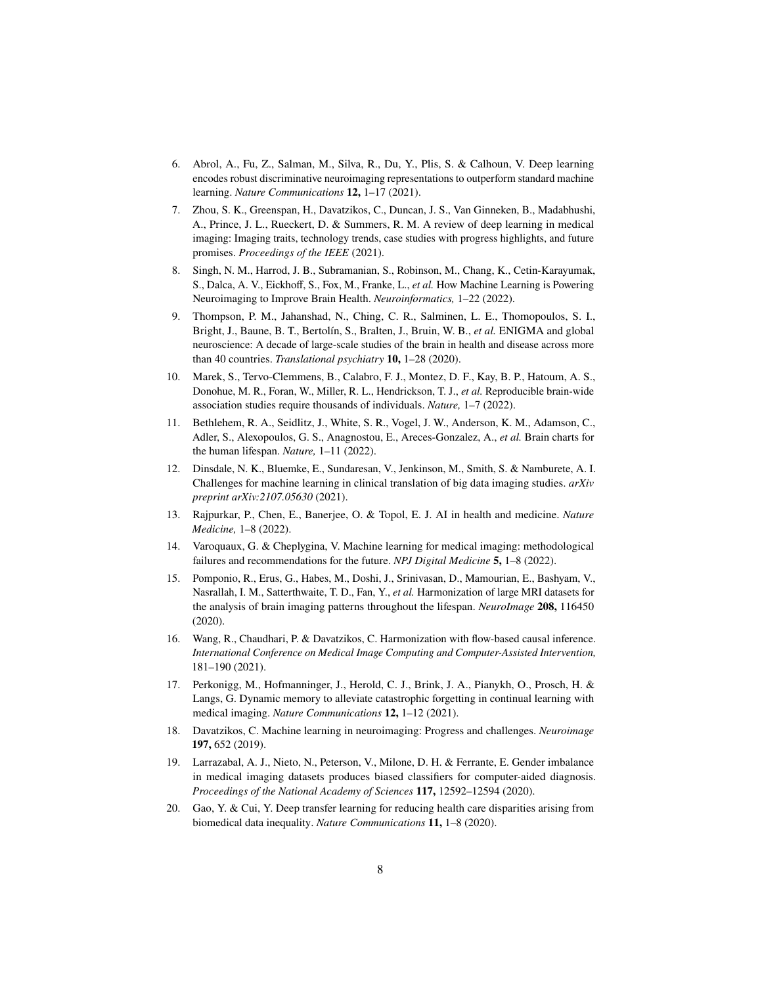- 6. Abrol, A., Fu, Z., Salman, M., Silva, R., Du, Y., Plis, S. & Calhoun, V. Deep learning encodes robust discriminative neuroimaging representations to outperform standard machine learning. *Nature Communications* **12,** 1–17 (2021).
- 7. Zhou, S. K., Greenspan, H., Davatzikos, C., Duncan, J. S., Van Ginneken, B., Madabhushi, A., Prince, J. L., Rueckert, D. & Summers, R. M. A review of deep learning in medical imaging: Imaging traits, technology trends, case studies with progress highlights, and future promises. *Proceedings of the IEEE* (2021).
- <span id="page-7-0"></span>8. Singh, N. M., Harrod, J. B., Subramanian, S., Robinson, M., Chang, K., Cetin-Karayumak, S., Dalca, A. V., Eickhoff, S., Fox, M., Franke, L., *et al.* How Machine Learning is Powering Neuroimaging to Improve Brain Health. *Neuroinformatics,* 1–22 (2022).
- <span id="page-7-1"></span>9. Thompson, P. M., Jahanshad, N., Ching, C. R., Salminen, L. E., Thomopoulos, S. I., Bright, J., Baune, B. T., Bertolín, S., Bralten, J., Bruin, W. B., *et al.* ENIGMA and global neuroscience: A decade of large-scale studies of the brain in health and disease across more than 40 countries. *Translational psychiatry* **10,** 1–28 (2020).
- 10. Marek, S., Tervo-Clemmens, B., Calabro, F. J., Montez, D. F., Kay, B. P., Hatoum, A. S., Donohue, M. R., Foran, W., Miller, R. L., Hendrickson, T. J., *et al.* Reproducible brain-wide association studies require thousands of individuals. *Nature,* 1–7 (2022).
- <span id="page-7-2"></span>11. Bethlehem, R. A., Seidlitz, J., White, S. R., Vogel, J. W., Anderson, K. M., Adamson, C., Adler, S., Alexopoulos, G. S., Anagnostou, E., Areces-Gonzalez, A., *et al.* Brain charts for the human lifespan. *Nature,* 1–11 (2022).
- <span id="page-7-3"></span>12. Dinsdale, N. K., Bluemke, E., Sundaresan, V., Jenkinson, M., Smith, S. & Namburete, A. I. Challenges for machine learning in clinical translation of big data imaging studies. *arXiv preprint arXiv:2107.05630* (2021).
- 13. Rajpurkar, P., Chen, E., Banerjee, O. & Topol, E. J. AI in health and medicine. *Nature Medicine,* 1–8 (2022).
- <span id="page-7-4"></span>14. Varoquaux, G. & Cheplygina, V. Machine learning for medical imaging: methodological failures and recommendations for the future. *NPJ Digital Medicine* **5,** 1–8 (2022).
- <span id="page-7-5"></span>15. Pomponio, R., Erus, G., Habes, M., Doshi, J., Srinivasan, D., Mamourian, E., Bashyam, V., Nasrallah, I. M., Satterthwaite, T. D., Fan, Y., *et al.* Harmonization of large MRI datasets for the analysis of brain imaging patterns throughout the lifespan. *NeuroImage* **208,** 116450 (2020).
- <span id="page-7-10"></span>16. Wang, R., Chaudhari, P. & Davatzikos, C. Harmonization with flow-based causal inference. *International Conference on Medical Image Computing and Computer-Assisted Intervention,* 181–190 (2021).
- <span id="page-7-6"></span>17. Perkonigg, M., Hofmanninger, J., Herold, C. J., Brink, J. A., Pianykh, O., Prosch, H. & Langs, G. Dynamic memory to alleviate catastrophic forgetting in continual learning with medical imaging. *Nature Communications* **12,** 1–12 (2021).
- <span id="page-7-7"></span>18. Davatzikos, C. Machine learning in neuroimaging: Progress and challenges. *Neuroimage* **197,** 652 (2019).
- <span id="page-7-8"></span>19. Larrazabal, A. J., Nieto, N., Peterson, V., Milone, D. H. & Ferrante, E. Gender imbalance in medical imaging datasets produces biased classifiers for computer-aided diagnosis. *Proceedings of the National Academy of Sciences* **117,** 12592–12594 (2020).
- <span id="page-7-9"></span>20. Gao, Y. & Cui, Y. Deep transfer learning for reducing health care disparities arising from biomedical data inequality. *Nature Communications* **11,** 1–8 (2020).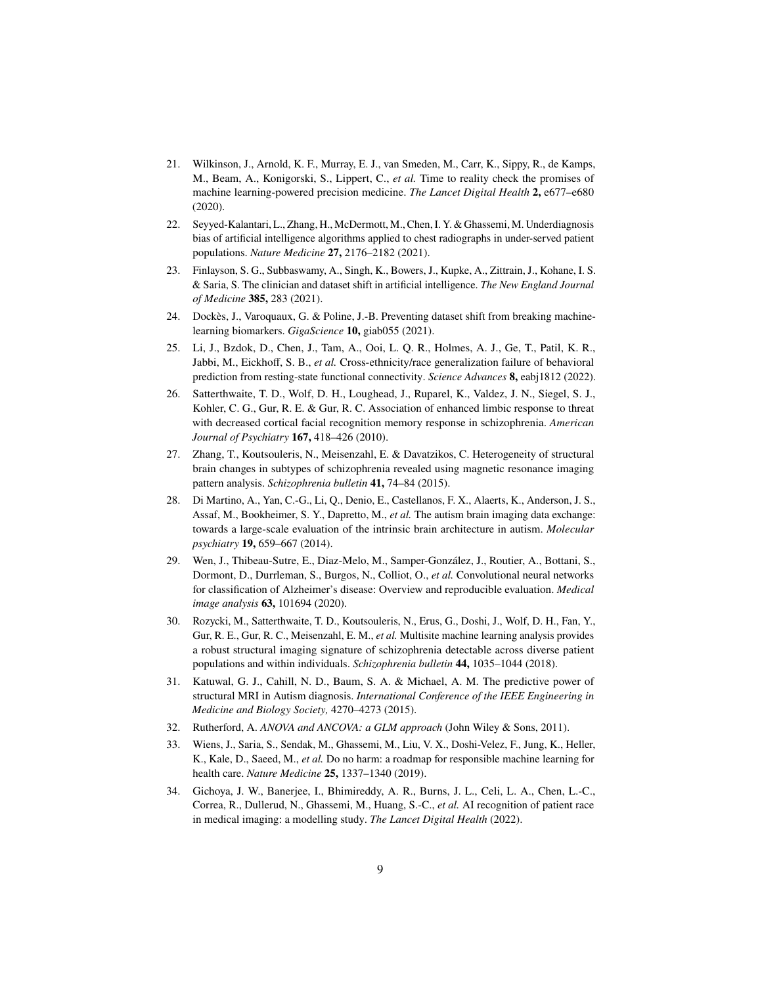- <span id="page-8-8"></span>21. Wilkinson, J., Arnold, K. F., Murray, E. J., van Smeden, M., Carr, K., Sippy, R., de Kamps, M., Beam, A., Konigorski, S., Lippert, C., *et al.* Time to reality check the promises of machine learning-powered precision medicine. *The Lancet Digital Health* **2,** e677–e680 (2020).
- <span id="page-8-1"></span>22. Seyyed-Kalantari, L., Zhang, H., McDermott, M., Chen, I. Y. & Ghassemi, M. Underdiagnosis bias of artificial intelligence algorithms applied to chest radiographs in under-served patient populations. *Nature Medicine* **27,** 2176–2182 (2021).
- <span id="page-8-9"></span>23. Finlayson, S. G., Subbaswamy, A., Singh, K., Bowers, J., Kupke, A., Zittrain, J., Kohane, I. S. & Saria, S. The clinician and dataset shift in artificial intelligence. *The New England Journal of Medicine* **385,** 283 (2021).
- 24. Dockès, J., Varoquaux, G. & Poline, J.-B. Preventing dataset shift from breaking machinelearning biomarkers. *GigaScience* **10,** giab055 (2021).
- <span id="page-8-0"></span>25. Li, J., Bzdok, D., Chen, J., Tam, A., Ooi, L. Q. R., Holmes, A. J., Ge, T., Patil, K. R., Jabbi, M., Eickhoff, S. B., *et al.* Cross-ethnicity/race generalization failure of behavioral prediction from resting-state functional connectivity. *Science Advances* **8,** eabj1812 (2022).
- <span id="page-8-2"></span>26. Satterthwaite, T. D., Wolf, D. H., Loughead, J., Ruparel, K., Valdez, J. N., Siegel, S. J., Kohler, C. G., Gur, R. E. & Gur, R. C. Association of enhanced limbic response to threat with decreased cortical facial recognition memory response in schizophrenia. *American Journal of Psychiatry* **167,** 418–426 (2010).
- <span id="page-8-3"></span>27. Zhang, T., Koutsouleris, N., Meisenzahl, E. & Davatzikos, C. Heterogeneity of structural brain changes in subtypes of schizophrenia revealed using magnetic resonance imaging pattern analysis. *Schizophrenia bulletin* **41,** 74–84 (2015).
- <span id="page-8-4"></span>28. Di Martino, A., Yan, C.-G., Li, Q., Denio, E., Castellanos, F. X., Alaerts, K., Anderson, J. S., Assaf, M., Bookheimer, S. Y., Dapretto, M., *et al.* The autism brain imaging data exchange: towards a large-scale evaluation of the intrinsic brain architecture in autism. *Molecular psychiatry* **19,** 659–667 (2014).
- <span id="page-8-5"></span>29. Wen, J., Thibeau-Sutre, E., Diaz-Melo, M., Samper-González, J., Routier, A., Bottani, S., Dormont, D., Durrleman, S., Burgos, N., Colliot, O., *et al.* Convolutional neural networks for classification of Alzheimer's disease: Overview and reproducible evaluation. *Medical image analysis* **63,** 101694 (2020).
- 30. Rozycki, M., Satterthwaite, T. D., Koutsouleris, N., Erus, G., Doshi, J., Wolf, D. H., Fan, Y., Gur, R. E., Gur, R. C., Meisenzahl, E. M., *et al.* Multisite machine learning analysis provides a robust structural imaging signature of schizophrenia detectable across diverse patient populations and within individuals. *Schizophrenia bulletin* **44,** 1035–1044 (2018).
- <span id="page-8-6"></span>31. Katuwal, G. J., Cahill, N. D., Baum, S. A. & Michael, A. M. The predictive power of structural MRI in Autism diagnosis. *International Conference of the IEEE Engineering in Medicine and Biology Society,* 4270–4273 (2015).
- <span id="page-8-7"></span>32. Rutherford, A. *ANOVA and ANCOVA: a GLM approach* (John Wiley & Sons, 2011).
- <span id="page-8-10"></span>33. Wiens, J., Saria, S., Sendak, M., Ghassemi, M., Liu, V. X., Doshi-Velez, F., Jung, K., Heller, K., Kale, D., Saeed, M., *et al.* Do no harm: a roadmap for responsible machine learning for health care. *Nature Medicine* **25,** 1337–1340 (2019).
- 34. Gichoya, J. W., Banerjee, I., Bhimireddy, A. R., Burns, J. L., Celi, L. A., Chen, L.-C., Correa, R., Dullerud, N., Ghassemi, M., Huang, S.-C., *et al.* AI recognition of patient race in medical imaging: a modelling study. *The Lancet Digital Health* (2022).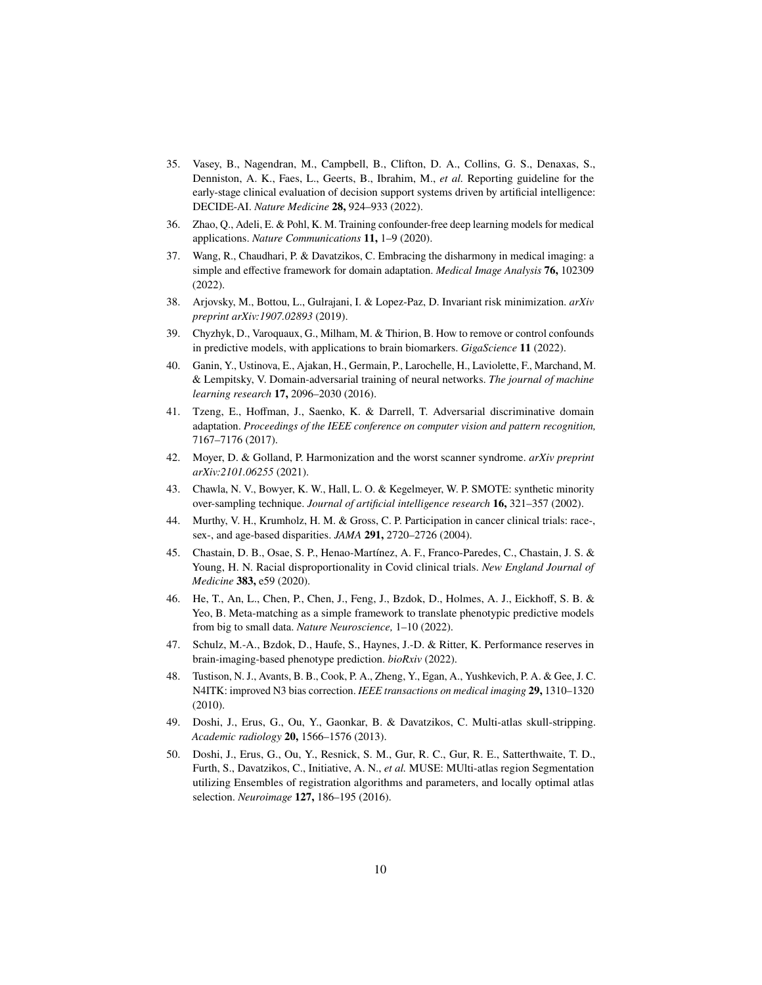- <span id="page-9-0"></span>35. Vasey, B., Nagendran, M., Campbell, B., Clifton, D. A., Collins, G. S., Denaxas, S., Denniston, A. K., Faes, L., Geerts, B., Ibrahim, M., *et al.* Reporting guideline for the early-stage clinical evaluation of decision support systems driven by artificial intelligence: DECIDE-AI. *Nature Medicine* **28,** 924–933 (2022).
- <span id="page-9-1"></span>36. Zhao, Q., Adeli, E. & Pohl, K. M. Training confounder-free deep learning models for medical applications. *Nature Communications* **11,** 1–9 (2020).
- <span id="page-9-2"></span>37. Wang, R., Chaudhari, P. & Davatzikos, C. Embracing the disharmony in medical imaging: a simple and effective framework for domain adaptation. *Medical Image Analysis* **76,** 102309 (2022).
- <span id="page-9-3"></span>38. Arjovsky, M., Bottou, L., Gulrajani, I. & Lopez-Paz, D. Invariant risk minimization. *arXiv preprint arXiv:1907.02893* (2019).
- <span id="page-9-4"></span>39. Chyzhyk, D., Varoquaux, G., Milham, M. & Thirion, B. How to remove or control confounds in predictive models, with applications to brain biomarkers. *GigaScience* **11** (2022).
- <span id="page-9-5"></span>40. Ganin, Y., Ustinova, E., Ajakan, H., Germain, P., Larochelle, H., Laviolette, F., Marchand, M. & Lempitsky, V. Domain-adversarial training of neural networks. *The journal of machine learning research* **17,** 2096–2030 (2016).
- <span id="page-9-6"></span>41. Tzeng, E., Hoffman, J., Saenko, K. & Darrell, T. Adversarial discriminative domain adaptation. *Proceedings of the IEEE conference on computer vision and pattern recognition,* 7167–7176 (2017).
- <span id="page-9-7"></span>42. Moyer, D. & Golland, P. Harmonization and the worst scanner syndrome. *arXiv preprint arXiv:2101.06255* (2021).
- <span id="page-9-8"></span>43. Chawla, N. V., Bowyer, K. W., Hall, L. O. & Kegelmeyer, W. P. SMOTE: synthetic minority over-sampling technique. *Journal of artificial intelligence research* **16,** 321–357 (2002).
- <span id="page-9-9"></span>44. Murthy, V. H., Krumholz, H. M. & Gross, C. P. Participation in cancer clinical trials: race-, sex-, and age-based disparities. *JAMA* **291,** 2720–2726 (2004).
- <span id="page-9-10"></span>45. Chastain, D. B., Osae, S. P., Henao-Martínez, A. F., Franco-Paredes, C., Chastain, J. S. & Young, H. N. Racial disproportionality in Covid clinical trials. *New England Journal of Medicine* **383,** e59 (2020).
- <span id="page-9-11"></span>46. He, T., An, L., Chen, P., Chen, J., Feng, J., Bzdok, D., Holmes, A. J., Eickhoff, S. B. & Yeo, B. Meta-matching as a simple framework to translate phenotypic predictive models from big to small data. *Nature Neuroscience,* 1–10 (2022).
- <span id="page-9-12"></span>47. Schulz, M.-A., Bzdok, D., Haufe, S., Haynes, J.-D. & Ritter, K. Performance reserves in brain-imaging-based phenotype prediction. *bioRxiv* (2022).
- <span id="page-9-13"></span>48. Tustison, N. J., Avants, B. B., Cook, P. A., Zheng, Y., Egan, A., Yushkevich, P. A. & Gee, J. C. N4ITK: improved N3 bias correction. *IEEE transactions on medical imaging* **29,** 1310–1320 (2010).
- <span id="page-9-15"></span>49. Doshi, J., Erus, G., Ou, Y., Gaonkar, B. & Davatzikos, C. Multi-atlas skull-stripping. *Academic radiology* **20,** 1566–1576 (2013).
- <span id="page-9-14"></span>50. Doshi, J., Erus, G., Ou, Y., Resnick, S. M., Gur, R. C., Gur, R. E., Satterthwaite, T. D., Furth, S., Davatzikos, C., Initiative, A. N., *et al.* MUSE: MUlti-atlas region Segmentation utilizing Ensembles of registration algorithms and parameters, and locally optimal atlas selection. *Neuroimage* **127,** 186–195 (2016).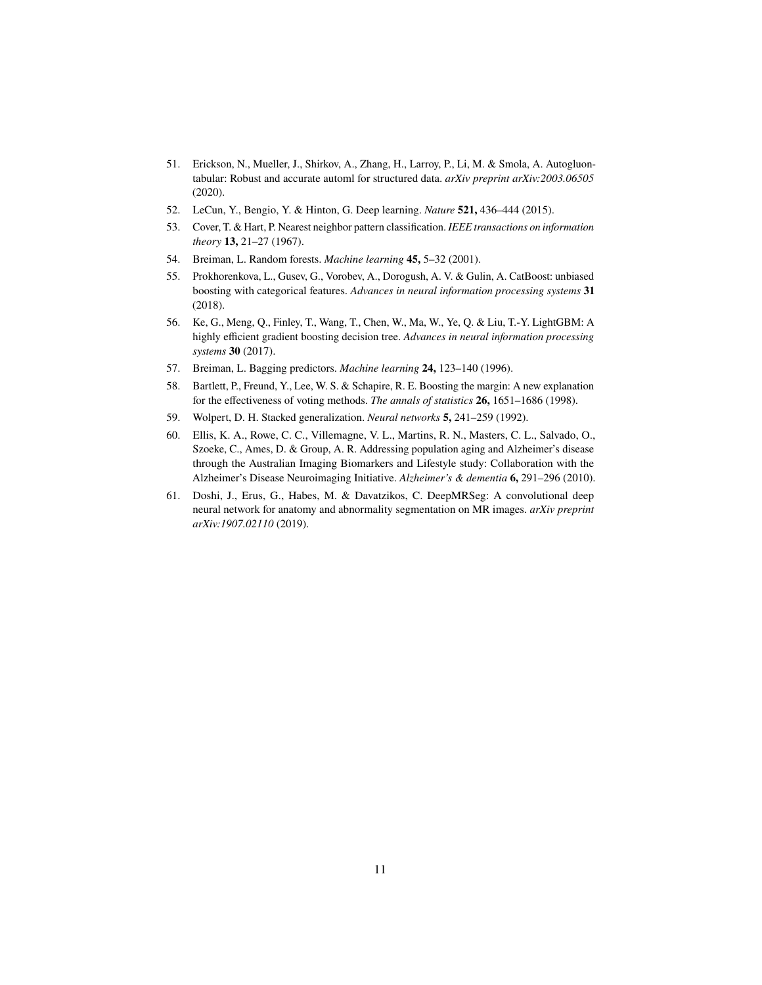- <span id="page-10-0"></span>51. Erickson, N., Mueller, J., Shirkov, A., Zhang, H., Larroy, P., Li, M. & Smola, A. Autogluontabular: Robust and accurate automl for structured data. *arXiv preprint arXiv:2003.06505* (2020).
- <span id="page-10-1"></span>52. LeCun, Y., Bengio, Y. & Hinton, G. Deep learning. *Nature* **521,** 436–444 (2015).
- <span id="page-10-2"></span>53. Cover, T. & Hart, P. Nearest neighbor pattern classification. *IEEE transactions on information theory* **13,** 21–27 (1967).
- <span id="page-10-3"></span>54. Breiman, L. Random forests. *Machine learning* **45,** 5–32 (2001).
- <span id="page-10-4"></span>55. Prokhorenkova, L., Gusev, G., Vorobev, A., Dorogush, A. V. & Gulin, A. CatBoost: unbiased boosting with categorical features. *Advances in neural information processing systems* **31** (2018).
- <span id="page-10-5"></span>56. Ke, G., Meng, Q., Finley, T., Wang, T., Chen, W., Ma, W., Ye, Q. & Liu, T.-Y. LightGBM: A highly efficient gradient boosting decision tree. *Advances in neural information processing systems* **30** (2017).
- <span id="page-10-6"></span>57. Breiman, L. Bagging predictors. *Machine learning* **24,** 123–140 (1996).
- <span id="page-10-7"></span>58. Bartlett, P., Freund, Y., Lee, W. S. & Schapire, R. E. Boosting the margin: A new explanation for the effectiveness of voting methods. *The annals of statistics* **26,** 1651–1686 (1998).
- <span id="page-10-8"></span>59. Wolpert, D. H. Stacked generalization. *Neural networks* **5,** 241–259 (1992).
- <span id="page-10-9"></span>60. Ellis, K. A., Rowe, C. C., Villemagne, V. L., Martins, R. N., Masters, C. L., Salvado, O., Szoeke, C., Ames, D. & Group, A. R. Addressing population aging and Alzheimer's disease through the Australian Imaging Biomarkers and Lifestyle study: Collaboration with the Alzheimer's Disease Neuroimaging Initiative. *Alzheimer's & dementia* **6,** 291–296 (2010).
- <span id="page-10-10"></span>61. Doshi, J., Erus, G., Habes, M. & Davatzikos, C. DeepMRSeg: A convolutional deep neural network for anatomy and abnormality segmentation on MR images. *arXiv preprint arXiv:1907.02110* (2019).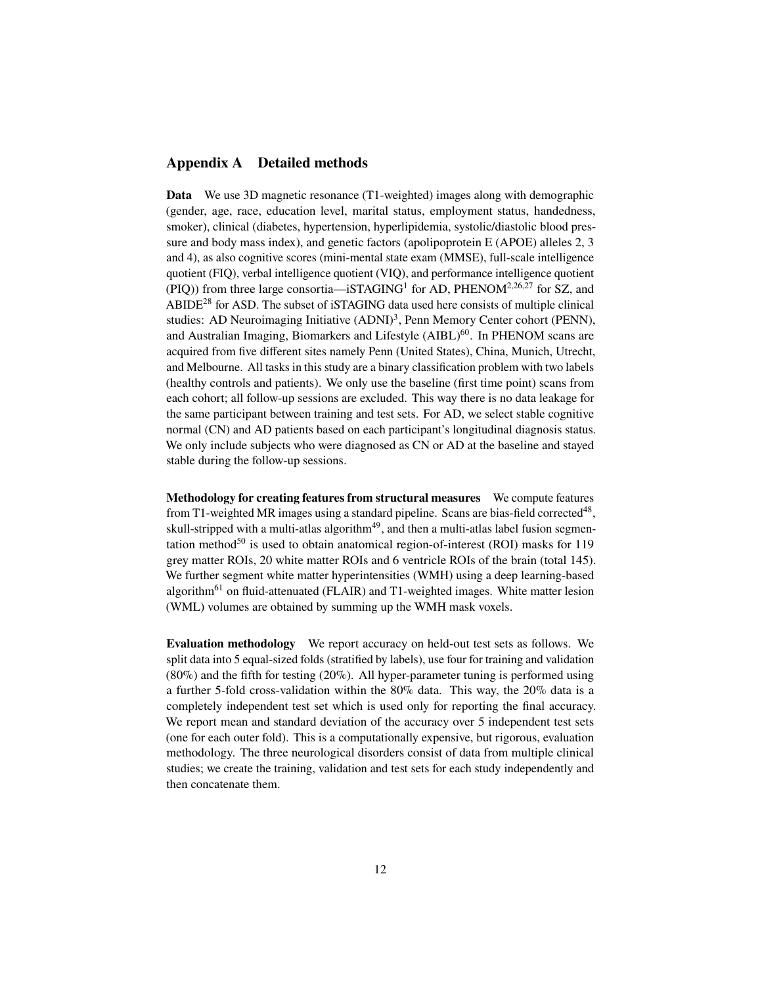# <span id="page-11-0"></span>**Appendix A Detailed methods**

**Data** We use 3D magnetic resonance (T1-weighted) images along with demographic (gender, age, race, education level, marital status, employment status, handedness, smoker), clinical (diabetes, hypertension, hyperlipidemia, systolic/diastolic blood pressure and body mass index), and genetic factors (apolipoprotein E (APOE) alleles 2, 3 and 4), as also cognitive scores (mini-mental state exam (MMSE), full-scale intelligence quotient (FIQ), verbal intelligence quotient (VIQ), and performance intelligence quotient (PIQ)) from three large consortia—iSTAGING<sup>[1](#page-6-1)</sup> for AD, PHENOM<sup>[2,](#page-6-2)[26](#page-8-2)[,27](#page-8-3)</sup> for SZ, and ABIDE[28](#page-8-4) for ASD. The subset of iSTAGING data used here consists of multiple clinical studies: AD Neuroimaging Initiative (ADNI)<sup>[3](#page-6-3)</sup>, Penn Memory Center cohort (PENN), and Australian Imaging, Biomarkers and Lifestyle  $(AIBL)^{60}$  $(AIBL)^{60}$  $(AIBL)^{60}$ . In PHENOM scans are acquired from five different sites namely Penn (United States), China, Munich, Utrecht, and Melbourne. All tasks in this study are a binary classification problem with two labels (healthy controls and patients). We only use the baseline (first time point) scans from each cohort; all follow-up sessions are excluded. This way there is no data leakage for the same participant between training and test sets. For AD, we select stable cognitive normal (CN) and AD patients based on each participant's longitudinal diagnosis status. We only include subjects who were diagnosed as CN or AD at the baseline and stayed stable during the follow-up sessions.

**Methodology for creating features from structural measures** We compute features from T1-weighted MR images using a standard pipeline. Scans are bias-field corrected<sup>[48](#page-9-13)</sup>, skull-stripped with a multi-atlas algorithm<sup>[49](#page-9-15)</sup>, and then a multi-atlas label fusion segmentation method $50$  is used to obtain anatomical region-of-interest (ROI) masks for 119 grey matter ROIs, 20 white matter ROIs and 6 ventricle ROIs of the brain (total 145). We further segment white matter hyperintensities (WMH) using a deep learning-based algorithm<sup>[61](#page-10-10)</sup> on fluid-attenuated (FLAIR) and T1-weighted images. White matter lesion (WML) volumes are obtained by summing up the WMH mask voxels.

**Evaluation methodology** We report accuracy on held-out test sets as follows. We split data into 5 equal-sized folds (stratified by labels), use four for training and validation (80%) and the fifth for testing (20%). All hyper-parameter tuning is performed using a further 5-fold cross-validation within the 80% data. This way, the 20% data is a completely independent test set which is used only for reporting the final accuracy. We report mean and standard deviation of the accuracy over 5 independent test sets (one for each outer fold). This is a computationally expensive, but rigorous, evaluation methodology. The three neurological disorders consist of data from multiple clinical studies; we create the training, validation and test sets for each study independently and then concatenate them.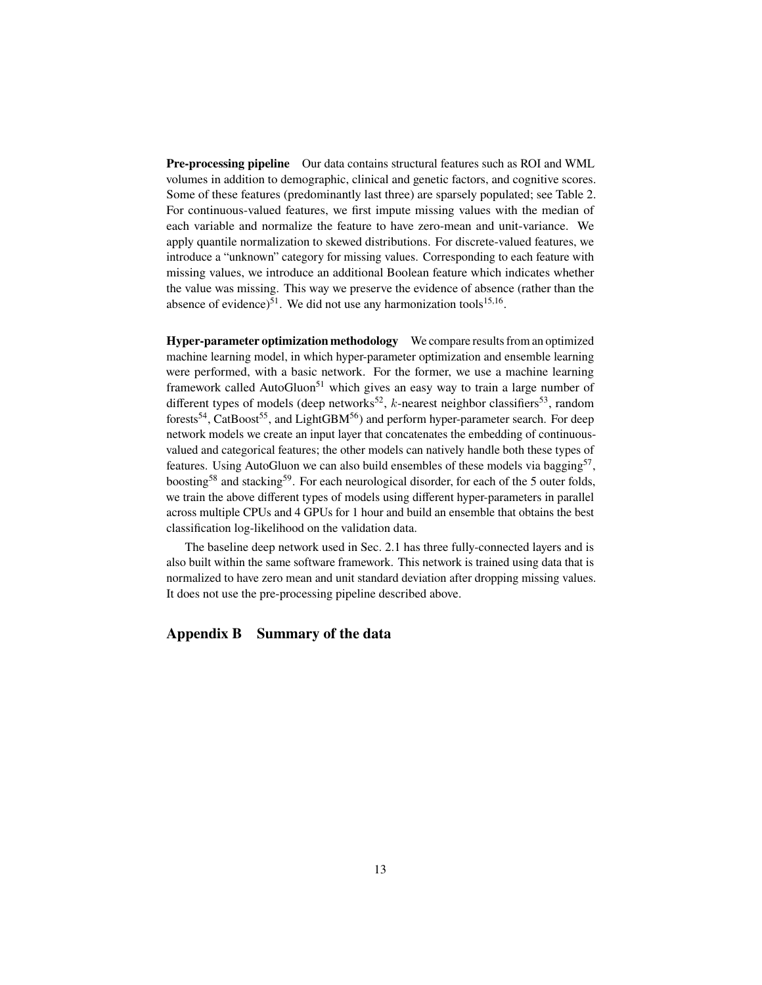**Pre-processing pipeline** Our data contains structural features such as ROI and WML volumes in addition to demographic, clinical and genetic factors, and cognitive scores. Some of these features (predominantly last three) are sparsely populated; see Table [2.](#page-14-0) For continuous-valued features, we first impute missing values with the median of each variable and normalize the feature to have zero-mean and unit-variance. We apply quantile normalization to skewed distributions. For discrete-valued features, we introduce a "unknown" category for missing values. Corresponding to each feature with missing values, we introduce an additional Boolean feature which indicates whether the value was missing. This way we preserve the evidence of absence (rather than the absence of evidence)<sup>[51](#page-10-0)</sup>. We did not use any harmonization tools<sup>[15,](#page-7-5)[16](#page-7-10)</sup>.

**Hyper-parameter optimization methodology** We compare results from an optimized machine learning model, in which hyper-parameter optimization and ensemble learning were performed, with a basic network. For the former, we use a machine learning framework called AutoGluon<sup>[51](#page-10-0)</sup> which gives an easy way to train a large number of different types of models (deep networks<sup>[52](#page-10-1)</sup>,  $k$ -nearest neighbor classifiers<sup>[53](#page-10-2)</sup>, random forests<sup>[54](#page-10-3)</sup>, CatBoost<sup>[55](#page-10-4)</sup>, and LightGBM<sup>[56](#page-10-5)</sup>) and perform hyper-parameter search. For deep network models we create an input layer that concatenates the embedding of continuousvalued and categorical features; the other models can natively handle both these types of features. Using AutoGluon we can also build ensembles of these models via bagging<sup>[57](#page-10-6)</sup>, boosting<sup>[58](#page-10-7)</sup> and stacking<sup>[59](#page-10-8)</sup>. For each neurological disorder, for each of the 5 outer folds, we train the above different types of models using different hyper-parameters in parallel across multiple CPUs and 4 GPUs for 1 hour and build an ensemble that obtains the best classification log-likelihood on the validation data.

The baseline deep network used in Sec. [2.1](#page-1-0) has three fully-connected layers and is also built within the same software framework. This network is trained using data that is normalized to have zero mean and unit standard deviation after dropping missing values. It does not use the pre-processing pipeline described above.

#### **Appendix B Summary of the data**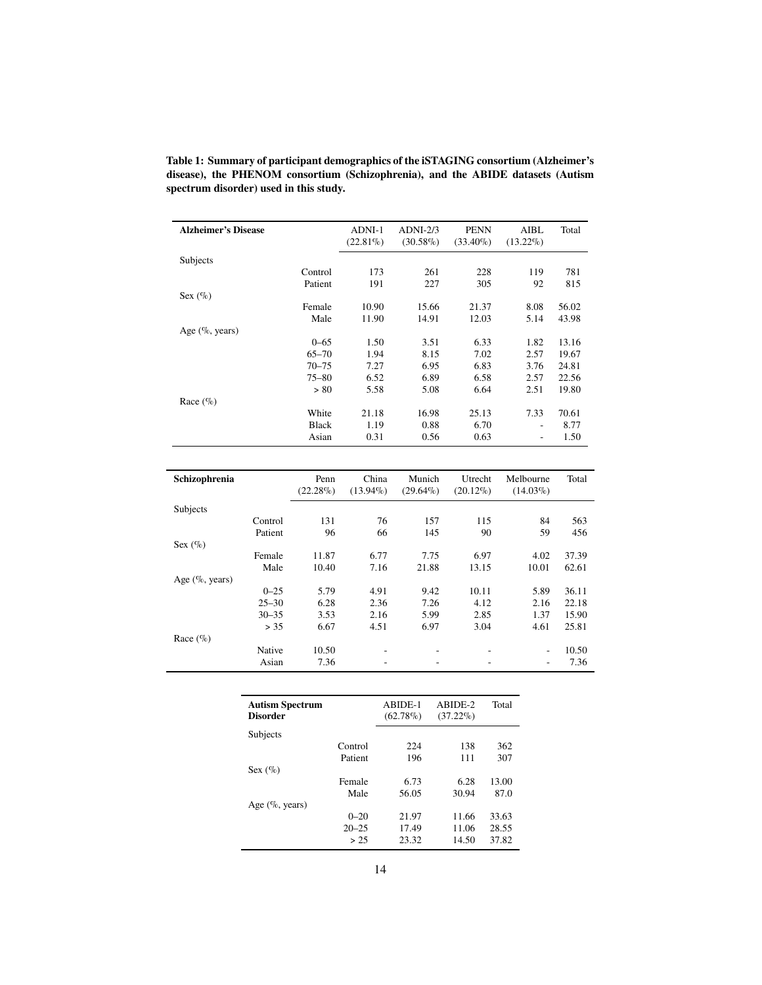| <b>Alzheimer's Disease</b> |              | ADNI-1      | $ADNI-2/3$  | <b>PENN</b> | AIBL        | Total |
|----------------------------|--------------|-------------|-------------|-------------|-------------|-------|
|                            |              | $(22.81\%)$ | $(30.58\%)$ | $(33.40\%)$ | $(13.22\%)$ |       |
| Subjects                   |              |             |             |             |             |       |
|                            | Control      | 173         | 261         | 228         | 119         | 781   |
|                            | Patient      | 191         | 227         | 305         | 92          | 815   |
| Sex $(\%)$                 |              |             |             |             |             |       |
|                            | Female       | 10.90       | 15.66       | 21.37       | 8.08        | 56.02 |
|                            | Male         | 11.90       | 14.91       | 12.03       | 5.14        | 43.98 |
| Age $(\%$ , years)         |              |             |             |             |             |       |
|                            | $0 - 65$     | 1.50        | 3.51        | 6.33        | 1.82        | 13.16 |
|                            | $65 - 70$    | 1.94        | 8.15        | 7.02        | 2.57        | 19.67 |
|                            | $70 - 75$    | 7.27        | 6.95        | 6.83        | 3.76        | 24.81 |
|                            | $75 - 80$    | 6.52        | 6.89        | 6.58        | 2.57        | 22.56 |
|                            | > 80         | 5.58        | 5.08        | 6.64        | 2.51        | 19.80 |
| Race $(\%)$                |              |             |             |             |             |       |
|                            | White        | 21.18       | 16.98       | 25.13       | 7.33        | 70.61 |
|                            | <b>Black</b> | 1.19        | 0.88        | 6.70        | ۰           | 8.77  |
|                            | Asian        | 0.31        | 0.56        | 0.63        | ۰           | 1.50  |

<span id="page-13-0"></span>**Table 1: Summary of participant demographics of the iSTAGING consortium (Alzheimer's disease), the PHENOM consortium (Schizophrenia), and the ABIDE datasets (Autism spectrum disorder) used in this study.**

| Schizophrenia      |           | Penn        | China       | Munich      | Utrecht     | Melbourne   | Total |
|--------------------|-----------|-------------|-------------|-------------|-------------|-------------|-------|
|                    |           | $(22.28\%)$ | $(13.94\%)$ | $(29.64\%)$ | $(20.12\%)$ | $(14.03\%)$ |       |
| Subjects           |           |             |             |             |             |             |       |
|                    | Control   | 131         | 76          | 157         | 115         | 84          | 563   |
|                    | Patient   | 96          | 66          | 145         | 90          | 59          | 456   |
| Sex $(\%)$         |           |             |             |             |             |             |       |
|                    | Female    | 11.87       | 6.77        | 7.75        | 6.97        | 4.02        | 37.39 |
|                    | Male      | 10.40       | 7.16        | 21.88       | 13.15       | 10.01       | 62.61 |
| Age $(\%$ , years) |           |             |             |             |             |             |       |
|                    | $0 - 25$  | 5.79        | 4.91        | 9.42        | 10.11       | 5.89        | 36.11 |
|                    | $25 - 30$ | 6.28        | 2.36        | 7.26        | 4.12        | 2.16        | 22.18 |
|                    | $30 - 35$ | 3.53        | 2.16        | 5.99        | 2.85        | 1.37        | 15.90 |
|                    | > 35      | 6.67        | 4.51        | 6.97        | 3.04        | 4.61        | 25.81 |
| Race $(\%)$        |           |             |             |             |             |             |       |
|                    | Native    | 10.50       | ٠           | ۰           | ۰           | ٠           | 10.50 |
|                    | Asian     | 7.36        |             |             | ۰           | ۰           | 7.36  |

| <b>Autism Spectrum</b><br><b>Disorder</b> |           | ABIDE-1<br>$(62.78\%)$ | ABIDE-2<br>$(37.22\%)$ | Total |
|-------------------------------------------|-----------|------------------------|------------------------|-------|
| Subjects                                  |           |                        |                        |       |
|                                           | Control   | 224                    | 138                    | 362   |
|                                           | Patient   | 196                    | 111                    | 307   |
| Sex $(\%)$                                |           |                        |                        |       |
|                                           | Female    | 6.73                   | 6.28                   | 13.00 |
|                                           | Male      | 56.05                  | 30.94                  | 87.0  |
| Age $(\%$ , years)                        |           |                        |                        |       |
|                                           | $0 - 20$  | 21.97                  | 11.66                  | 33.63 |
|                                           | $20 - 25$ | 17.49                  | 11.06                  | 28.55 |
|                                           | > 25      | 23.32                  | 14.50                  | 37.82 |